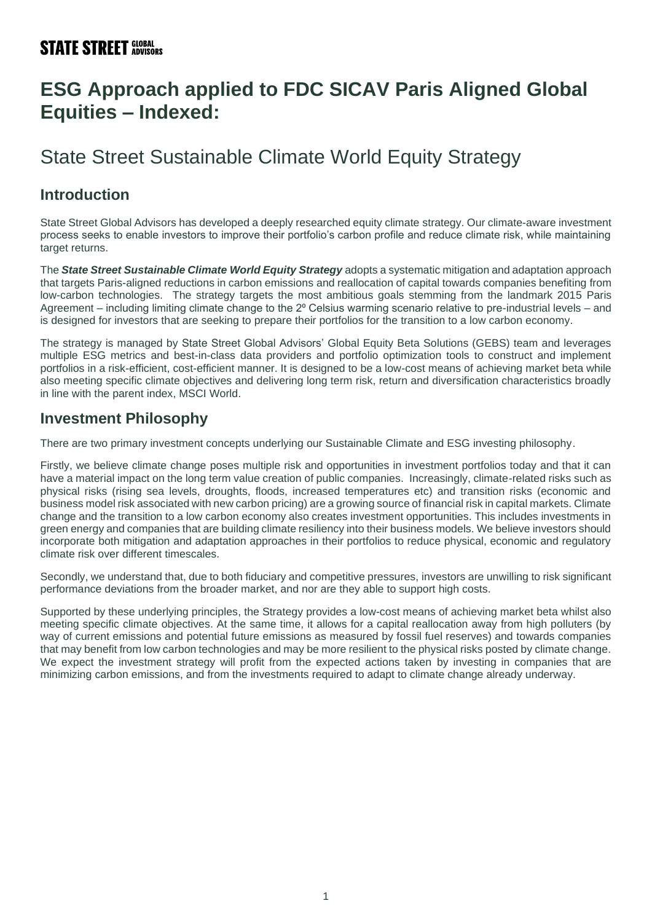# **ESG Approach applied to FDC SICAV Paris Aligned Global Equities – Indexed:**

# State Street Sustainable Climate World Equity Strategy

### **Introduction**

State Street Global Advisors has developed a deeply researched equity climate strategy. Our climate-aware investment process seeks to enable investors to improve their portfolio's carbon profile and reduce climate risk, while maintaining target returns.

The *State Street Sustainable Climate World Equity Strategy* adopts a systematic mitigation and adaptation approach that targets Paris-aligned reductions in carbon emissions and reallocation of capital towards companies benefiting from low-carbon technologies. The strategy targets the most ambitious goals stemming from the landmark 2015 Paris Agreement – including limiting climate change to the 2<sup>o</sup> Celsius warming scenario relative to pre-industrial levels – and is designed for investors that are seeking to prepare their portfolios for the transition to a low carbon economy.

The strategy is managed by State Street Global Advisors' Global Equity Beta Solutions (GEBS) team and leverages multiple ESG metrics and best-in-class data providers and portfolio optimization tools to construct and implement portfolios in a risk-efficient, cost-efficient manner. It is designed to be a low-cost means of achieving market beta while also meeting specific climate objectives and delivering long term risk, return and diversification characteristics broadly in line with the parent index, MSCI World.

#### **Investment Philosophy**

There are two primary investment concepts underlying our Sustainable Climate and ESG investing philosophy.

Firstly, we believe climate change poses multiple risk and opportunities in investment portfolios today and that it can have a material impact on the long term value creation of public companies. Increasingly, climate-related risks such as physical risks (rising sea levels, droughts, floods, increased temperatures etc) and transition risks (economic and business model risk associated with new carbon pricing) are a growing source of financial risk in capital markets. Climate change and the transition to a low carbon economy also creates investment opportunities. This includes investments in green energy and companies that are building climate resiliency into their business models. We believe investors should incorporate both mitigation and adaptation approaches in their portfolios to reduce physical, economic and regulatory climate risk over different timescales.

Secondly, we understand that, due to both fiduciary and competitive pressures, investors are unwilling to risk significant performance deviations from the broader market, and nor are they able to support high costs.

Supported by these underlying principles, the Strategy provides a low-cost means of achieving market beta whilst also meeting specific climate objectives. At the same time, it allows for a capital reallocation away from high polluters (by way of current emissions and potential future emissions as measured by fossil fuel reserves) and towards companies that may benefit from low carbon technologies and may be more resilient to the physical risks posted by climate change. We expect the investment strategy will profit from the expected actions taken by investing in companies that are minimizing carbon emissions, and from the investments required to adapt to climate change already underway.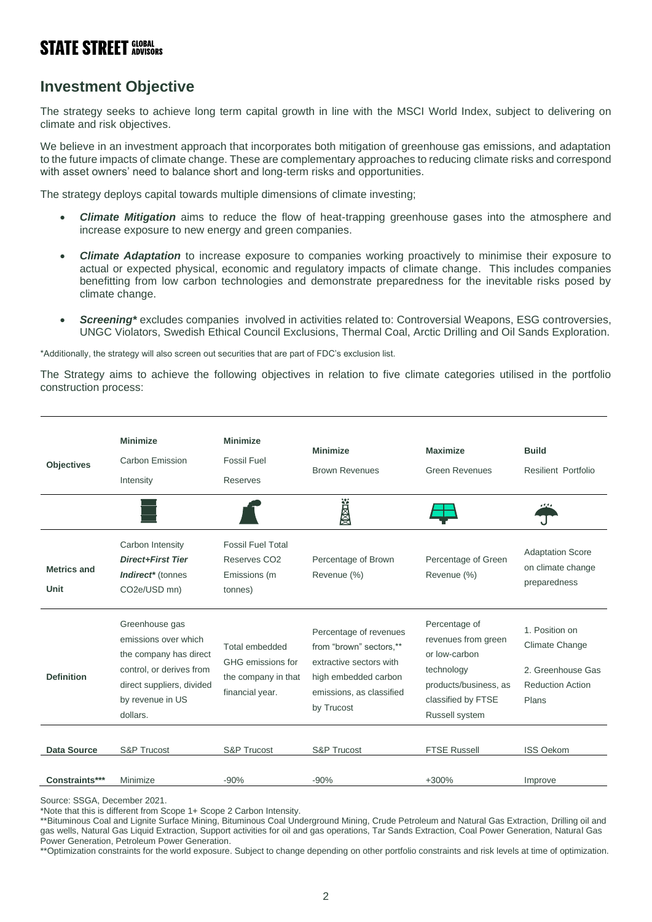### **Investment Objective**

The strategy seeks to achieve long term capital growth in line with the MSCI World Index, subject to delivering on climate and risk objectives.

We believe in an investment approach that incorporates both mitigation of greenhouse gas emissions, and adaptation to the future impacts of climate change. These are complementary approaches to reducing climate risks and correspond with asset owners' need to balance short and long-term risks and opportunities.

The strategy deploys capital towards multiple dimensions of climate investing;

- *Climate Mitigation* aims to reduce the flow of heat-trapping greenhouse gases into the atmosphere and increase exposure to new energy and green companies.
- *Climate Adaptation* to increase exposure to companies working proactively to minimise their exposure to actual or expected physical, economic and regulatory impacts of climate change. This includes companies benefitting from low carbon technologies and demonstrate preparedness for the inevitable risks posed by climate change.
- *Screening\** excludes companies involved in activities related to: Controversial Weapons, ESG controversies, UNGC Violators, Swedish Ethical Council Exclusions, Thermal Coal, Arctic Drilling and Oil Sands Exploration.

\*Additionally, the strategy will also screen out securities that are part of FDC's exclusion list.

The Strategy aims to achieve the following objectives in relation to five climate categories utilised in the portfolio construction process:



Source: SSGA, December 2021.

\*Note that this is different from Scope 1+ Scope 2 Carbon Intensity.

\*\*Bituminous Coal and Lignite Surface Mining, Bituminous Coal Underground Mining, Crude Petroleum and Natural Gas Extraction, Drilling oil and gas wells, Natural Gas Liquid Extraction, Support activities for oil and gas operations, Tar Sands Extraction, Coal Power Generation, Natural Gas Power Generation, Petroleum Power Generation.

\*\*Optimization constraints for the world exposure. Subject to change depending on other portfolio constraints and risk levels at time of optimization.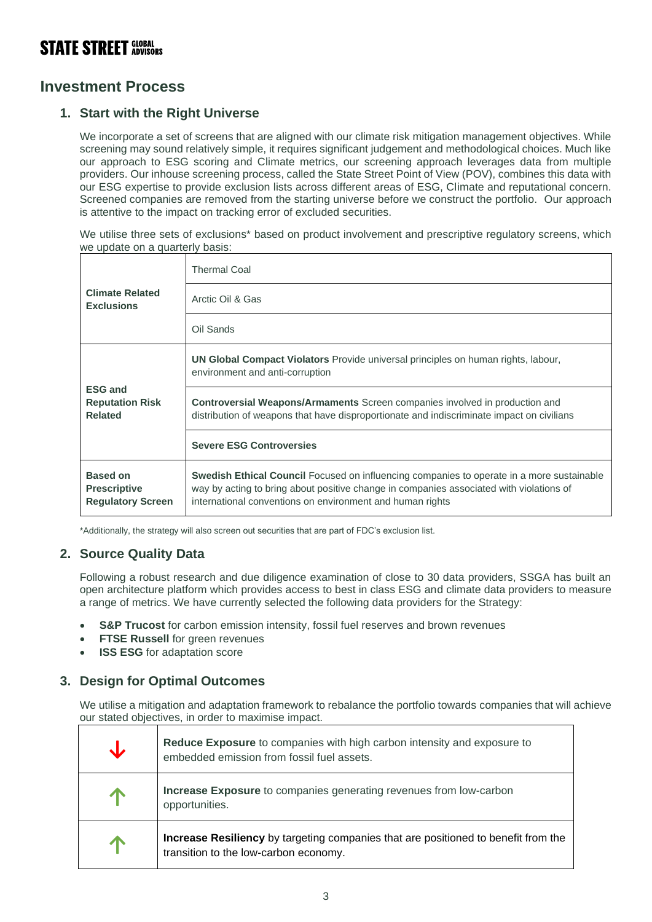### **Investment Process**

#### **1. Start with the Right Universe**

We incorporate a set of screens that are aligned with our climate risk mitigation management objectives. While screening may sound relatively simple, it requires significant judgement and methodological choices. Much like our approach to ESG scoring and Climate metrics, our screening approach leverages data from multiple providers. Our inhouse screening process, called the State Street Point of View (POV), combines this data with our ESG expertise to provide exclusion lists across different areas of ESG, Climate and reputational concern. Screened companies are removed from the starting universe before we construct the portfolio. Our approach is attentive to the impact on tracking error of excluded securities.

We utilise three sets of exclusions<sup>\*</sup> based on product involvement and prescriptive regulatory screens, which we update on a quarterly basis:

| <b>Climate Related</b><br><b>Exclusions</b>                        | <b>Thermal Coal</b>                                                                                                                                                                                                                                      |  |
|--------------------------------------------------------------------|----------------------------------------------------------------------------------------------------------------------------------------------------------------------------------------------------------------------------------------------------------|--|
|                                                                    | Arctic Oil & Gas                                                                                                                                                                                                                                         |  |
|                                                                    | Oil Sands                                                                                                                                                                                                                                                |  |
| <b>ESG and</b><br><b>Reputation Risk</b><br><b>Related</b>         | <b>UN Global Compact Violators</b> Provide universal principles on human rights, labour,<br>environment and anti-corruption                                                                                                                              |  |
|                                                                    | Controversial Weapons/Armaments Screen companies involved in production and<br>distribution of weapons that have disproportionate and indiscriminate impact on civilians                                                                                 |  |
|                                                                    | <b>Severe ESG Controversies</b>                                                                                                                                                                                                                          |  |
| <b>Based on</b><br><b>Prescriptive</b><br><b>Regulatory Screen</b> | <b>Swedish Ethical Council</b> Focused on influencing companies to operate in a more sustainable<br>way by acting to bring about positive change in companies associated with violations of<br>international conventions on environment and human rights |  |

\*Additionally, the strategy will also screen out securities that are part of FDC's exclusion list.

#### **2. Source Quality Data**

Following a robust research and due diligence examination of close to 30 data providers, SSGA has built an open architecture platform which provides access to best in class ESG and climate data providers to measure a range of metrics. We have currently selected the following data providers for the Strategy:

- **S&P Trucost** for carbon emission intensity, fossil fuel reserves and brown revenues
- **FTSE Russell** for green revenues
- **ISS ESG** for adaptation score

#### **3. Design for Optimal Outcomes**

We utilise a mitigation and adaptation framework to rebalance the portfolio towards companies that will achieve our stated objectives, in order to maximise impact.

| Reduce Exposure to companies with high carbon intensity and exposure to<br>embedded emission from fossil fuel assets.       |
|-----------------------------------------------------------------------------------------------------------------------------|
| <b>Increase Exposure</b> to companies generating revenues from low-carbon<br>opportunities.                                 |
| Increase Resiliency by targeting companies that are positioned to benefit from the<br>transition to the low-carbon economy. |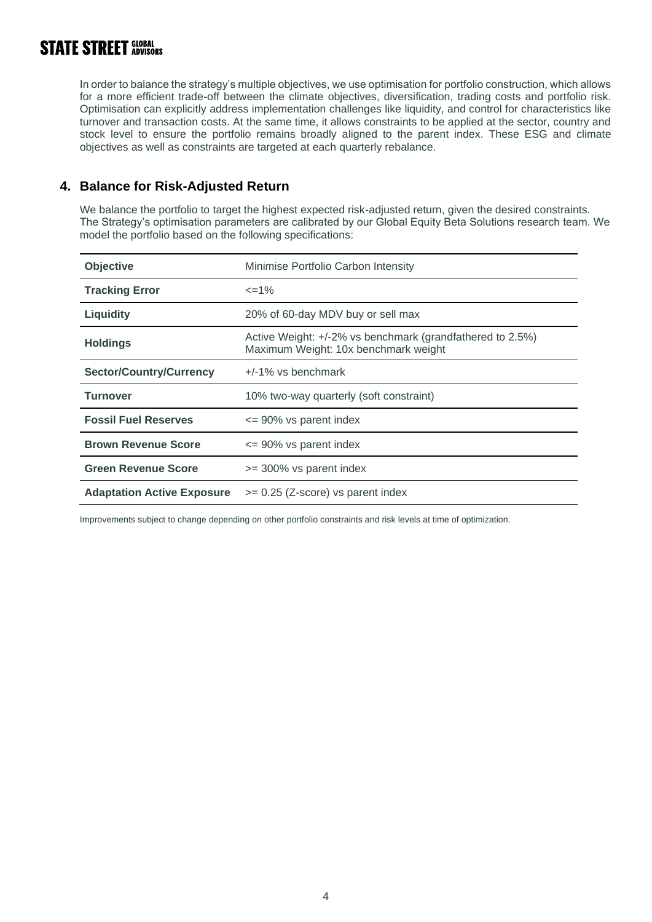In order to balance the strategy's multiple objectives, we use optimisation for portfolio construction, which allows for a more efficient trade-off between the climate objectives, diversification, trading costs and portfolio risk. Optimisation can explicitly address implementation challenges like liquidity, and control for characteristics like turnover and transaction costs. At the same time, it allows constraints to be applied at the sector, country and stock level to ensure the portfolio remains broadly aligned to the parent index. These ESG and climate objectives as well as constraints are targeted at each quarterly rebalance.

#### **4. Balance for Risk-Adjusted Return**

We balance the portfolio to target the highest expected risk-adjusted return, given the desired constraints. The Strategy's optimisation parameters are calibrated by our Global Equity Beta Solutions research team. We model the portfolio based on the following specifications:

| Objective                         | Minimise Portfolio Carbon Intensity                                                               |
|-----------------------------------|---------------------------------------------------------------------------------------------------|
| <b>Tracking Error</b>             | $\leq$ = 1%                                                                                       |
| <b>Liquidity</b>                  | 20% of 60-day MDV buy or sell max                                                                 |
| <b>Holdings</b>                   | Active Weight: +/-2% vs benchmark (grandfathered to 2.5%)<br>Maximum Weight: 10x benchmark weight |
| <b>Sector/Country/Currency</b>    | $+/-1\%$ vs benchmark                                                                             |
| Turnover                          | 10% two-way quarterly (soft constraint)                                                           |
| <b>Fossil Fuel Reserves</b>       | $\leq$ 90% vs parent index                                                                        |
| <b>Brown Revenue Score</b>        | $\leq$ 90% vs parent index                                                                        |
| <b>Green Revenue Score</b>        | >= 300% vs parent index                                                                           |
| <b>Adaptation Active Exposure</b> | $>= 0.25$ (Z-score) vs parent index                                                               |

Improvements subject to change depending on other portfolio constraints and risk levels at time of optimization.